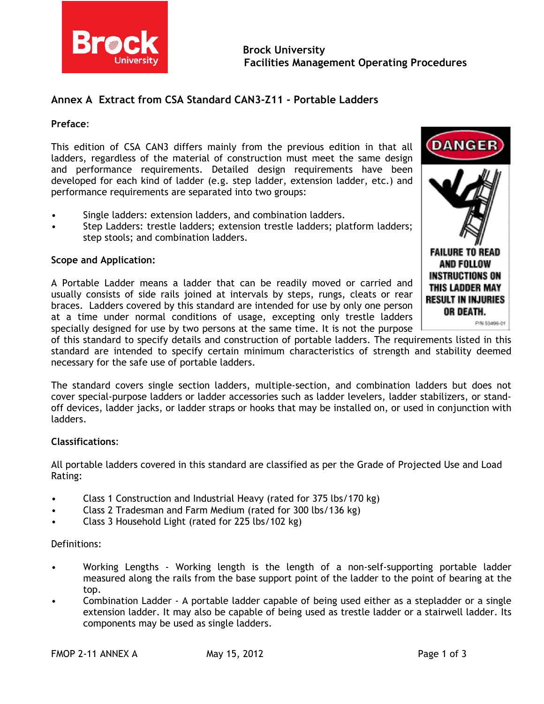

# **Annex A Extract from CSA Standard CAN3-Z11 - Portable Ladders**

#### **Preface**:

This edition of CSA CAN3 differs mainly from the previous edition in that all ladders, regardless of the material of construction must meet the same design and performance requirements. Detailed design requirements have been developed for each kind of ladder (e.g. step ladder, extension ladder, etc.) and performance requirements are separated into two groups:

- Single ladders: extension ladders, and combination ladders.
- Step Ladders: trestle ladders; extension trestle ladders; platform ladders; step stools; and combination ladders.

### **Scope and Application:**

A Portable Ladder means a ladder that can be readily moved or carried and usually consists of side rails joined at intervals by steps, rungs, cleats or rear braces. Ladders covered by this standard are intended for use by only one person at a time under normal conditions of usage, excepting only trestle ladders specially designed for use by two persons at the same time. It is not the purpose



P/N 53496-01

of this standard to specify details and construction of portable ladders. The requirements listed in this standard are intended to specify certain minimum characteristics of strength and stability deemed necessary for the safe use of portable ladders.

The standard covers single section ladders, multiple-section, and combination ladders but does not cover special-purpose ladders or ladder accessories such as ladder levelers, ladder stabilizers, or standoff devices, ladder jacks, or ladder straps or hooks that may be installed on, or used in conjunction with ladders.

#### **Classifications**:

All portable ladders covered in this standard are classified as per the Grade of Projected Use and Load Rating:

- Class 1 Construction and Industrial Heavy (rated for 375 lbs/170 kg)
- Class 2 Tradesman and Farm Medium (rated for 300 lbs/136 kg)
- Class 3 Household Light (rated for 225 lbs/102 kg)

#### Definitions:

- Working Lengths Working length is the length of a non-self-supporting portable ladder measured along the rails from the base support point of the ladder to the point of bearing at the top.
- Combination Ladder A portable ladder capable of being used either as a stepladder or a single extension ladder. It may also be capable of being used as trestle ladder or a stairwell ladder. Its components may be used as single ladders.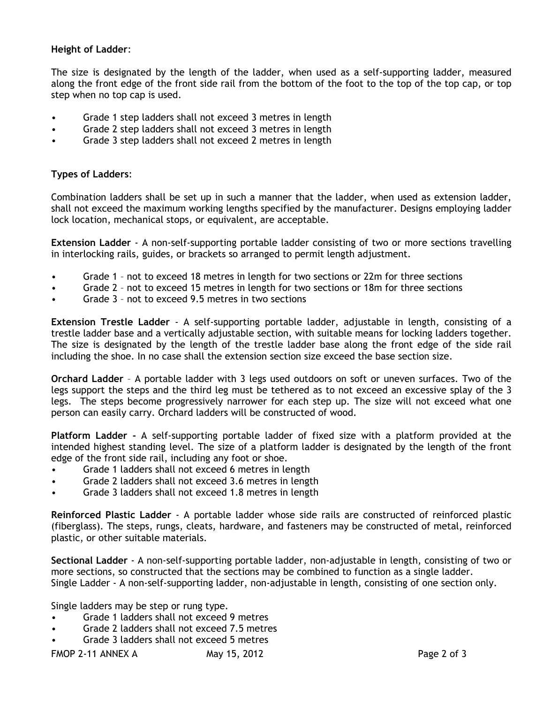## **Height of Ladder**:

The size is designated by the length of the ladder, when used as a self-supporting ladder, measured along the front edge of the front side rail from the bottom of the foot to the top of the top cap, or top step when no top cap is used.

- Grade 1 step ladders shall not exceed 3 metres in length
- Grade 2 step ladders shall not exceed 3 metres in length
- Grade 3 step ladders shall not exceed 2 metres in length

## **Types of Ladders**:

Combination ladders shall be set up in such a manner that the ladder, when used as extension ladder, shall not exceed the maximum working lengths specified by the manufacturer. Designs employing ladder lock location, mechanical stops, or equivalent, are acceptable.

**Extension Ladder** - A non-self-supporting portable ladder consisting of two or more sections travelling in interlocking rails, guides, or brackets so arranged to permit length adjustment.

- Grade 1 not to exceed 18 metres in length for two sections or 22m for three sections
- Grade 2 not to exceed 15 metres in length for two sections or 18m for three sections
- Grade 3 not to exceed 9.5 metres in two sections

**Extension Trestle Ladder** - A self-supporting portable ladder, adjustable in length, consisting of a trestle ladder base and a vertically adjustable section, with suitable means for locking ladders together. The size is designated by the length of the trestle ladder base along the front edge of the side rail including the shoe. In no case shall the extension section size exceed the base section size.

**Orchard Ladder** – A portable ladder with 3 legs used outdoors on soft or uneven surfaces. Two of the legs support the steps and the third leg must be tethered as to not exceed an excessive splay of the 3 legs. The steps become progressively narrower for each step up. The size will not exceed what one person can easily carry. Orchard ladders will be constructed of wood.

**Platform Ladder -** A self-supporting portable ladder of fixed size with a platform provided at the intended highest standing level. The size of a platform ladder is designated by the length of the front edge of the front side rail, including any foot or shoe.

- Grade 1 ladders shall not exceed 6 metres in length
- Grade 2 ladders shall not exceed 3.6 metres in length
- Grade 3 ladders shall not exceed 1.8 metres in length

**Reinforced Plastic Ladder** - A portable ladder whose side rails are constructed of reinforced plastic (fiberglass). The steps, rungs, cleats, hardware, and fasteners may be constructed of metal, reinforced plastic, or other suitable materials.

**Sectional Ladder** - A non-self-supporting portable ladder, non-adjustable in length, consisting of two or more sections, so constructed that the sections may be combined to function as a single ladder. Single Ladder - A non-self-supporting ladder, non-adjustable in length, consisting of one section only.

Single ladders may be step or rung type.

- Grade 1 ladders shall not exceed 9 metres
- Grade 2 ladders shall not exceed 7.5 metres
- Grade 3 ladders shall not exceed 5 metres